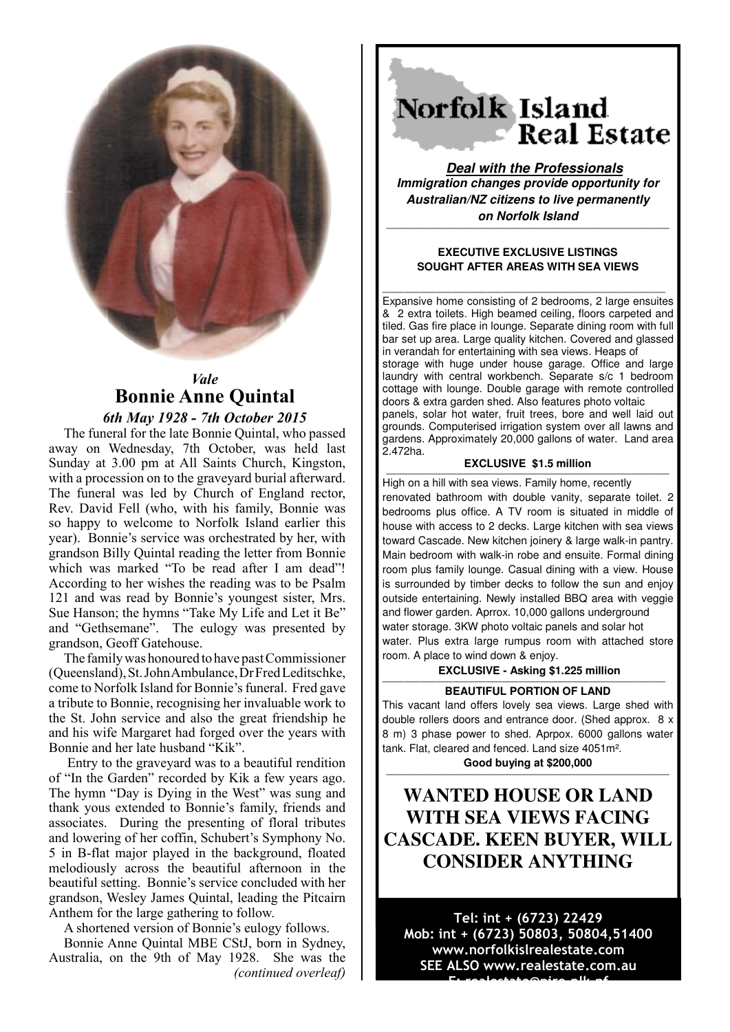

## *Vale* **Bonnie Anne Quintal**

## *6th May 1928 - 7th October 2015*

The funeral for the late Bonnie Quintal, who passed away on Wednesday, 7th October, was held last Sunday at 3.00 pm at All Saints Church, Kingston, with a procession on to the graveyard burial afterward. The funeral was led by Church of England rector, Rev. David Fell (who, with his family, Bonnie was so happy to welcome to Norfolk Island earlier this year). Bonnie's service was orchestrated by her, with grandson Billy Quintal reading the letter from Bonnie which was marked "To be read after I am dead"! According to her wishes the reading was to be Psalm 121 and was read by Bonnie's youngest sister, Mrs. Sue Hanson; the hymns "Take My Life and Let it Be" and "Gethsemane". The eulogy was presented by grandson, Geoff Gatehouse.

The family was honoured to have past Commissioner (Queensland), St. John Ambulance, Dr Fred Leditschke, come to Norfolk Island for Bonnie's funeral. Fred gave a tribute to Bonnie, recognising her invaluable work to the St. John service and also the great friendship he and his wife Margaret had forged over the years with Bonnie and her late husband "Kik".

 Entry to the graveyard was to a beautiful rendition of "In the Garden" recorded by Kik a few years ago. The hymn "Day is Dying in the West" was sung and thank yous extended to Bonnie's family, friends and associates. During the presenting of floral tributes and lowering of her coffin, Schubert's Symphony No. 5 in B-flat major played in the background, floated melodiously across the beautiful afternoon in the beautiful setting. Bonnie's service concluded with her grandson, Wesley James Quintal, leading the Pitcairn Anthem for the large gathering to follow.

A shortened version of Bonnie's eulogy follows.

Bonnie Anne Quintal MBE CStJ, born in Sydney, Australia, on the 9th of May 1928. She was the *(continued overleaf)*

# Norfolk Island **Real Estate**

**Deal with the Professionals Immigration changes provide opportunity for Australian/NZ citizens to live permanently on Norfolk Island**

#### **EXECUTIVE EXCLUSIVE LISTINGS SOUGHT AFTER AREAS WITH SEA VIEWS**

**————————————————————————————————————————————————————**

**————————————————————————————————————————————————————** Expansive home consisting of 2 bedrooms, 2 large ensuites & 2 extra toilets. High beamed ceiling, floors carpeted and tiled. Gas fire place in lounge. Separate dining room with full bar set up area. Large quality kitchen. Covered and glassed in verandah for entertaining with sea views. Heaps of storage with huge under house garage. Office and large laundry with central workbench. Separate s/c 1 bedroom cottage with lounge. Double garage with remote controlled doors & extra garden shed. Also features photo voltaic panels, solar hot water, fruit trees, bore and well laid out grounds. Computerised irrigation system over all lawns and gardens. Approximately 20,000 gallons of water. Land area 2.472ha.

#### **EXCLUSIVE \$1.5 million**

**————————————————————————————————————————————————————** High on a hill with sea views. Family home, recently renovated bathroom with double vanity, separate toilet. 2 bedrooms plus office. A TV room is situated in middle of house with access to 2 decks. Large kitchen with sea views toward Cascade. New kitchen joinery & large walk-in pantry. Main bedroom with walk-in robe and ensuite. Formal dining room plus family lounge. Casual dining with a view. House is surrounded by timber decks to follow the sun and enjoy outside entertaining. Newly installed BBQ area with veggie and flower garden. Aprrox. 10,000 gallons underground water storage. 3KW photo voltaic panels and solar hot water. Plus extra large rumpus room with attached store room. A place to wind down & enjoy.

### **EXCLUSIVE - Asking \$1.225 million**

## **EXAMPLE PORTION OF LAND BEAUTIFUL PORTION OF LAND**

This vacant land offers lovely sea views. Large shed with double rollers doors and entrance door. (Shed approx. 8 x 8 m) 3 phase power to shed. Aprpox. 6000 gallons water tank. Flat, cleared and fenced. Land size 4051m².

Good buying at \$200,000

## **WANTED HOUSE OR LAND WITH SEA VIEWS FACING CASCADE. KEEN BUYER, WILL CONSIDER ANYTHING**

Tel: int + (6723) 22429 Mob: int + (6723) 50803, 50804,51400 www.norfolkislrealestate.com SEE ALSO www.realestate.com.au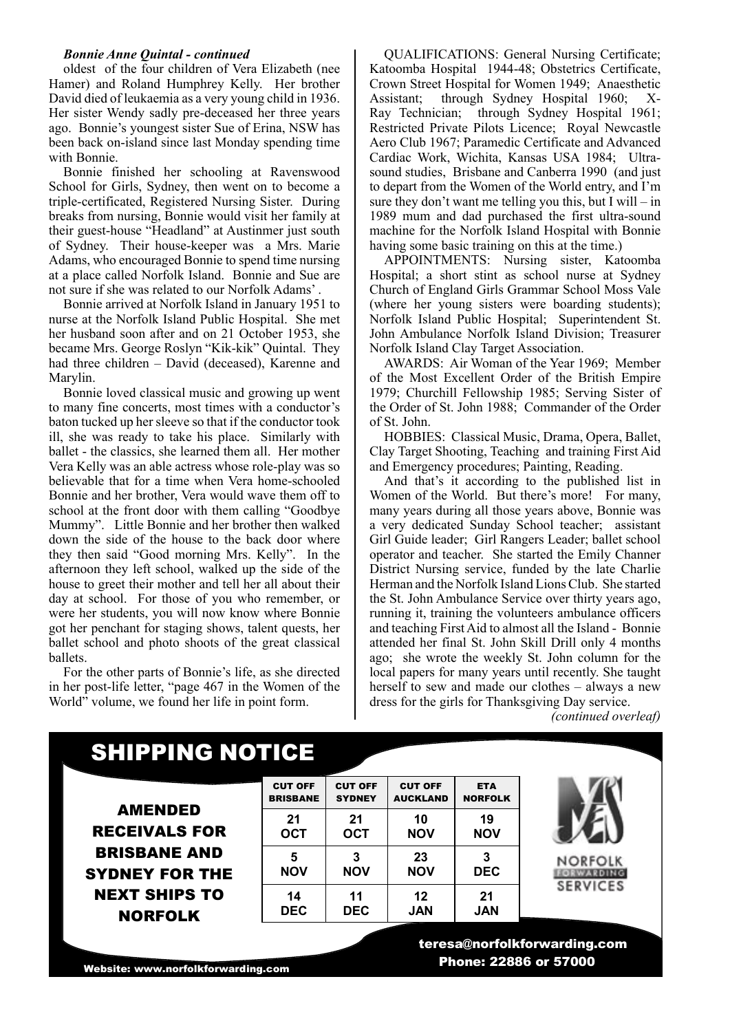#### *Bonnie Anne Quintal - continued*

oldest of the four children of Vera Elizabeth (nee Hamer) and Roland Humphrey Kelly. Her brother David died of leukaemia as a very young child in 1936. Her sister Wendy sadly pre-deceased her three years ago. Bonnie's youngest sister Sue of Erina, NSW has been back on-island since last Monday spending time with Bonnie.

Bonnie finished her schooling at Ravenswood School for Girls, Sydney, then went on to become a triple-certificated, Registered Nursing Sister. During breaks from nursing, Bonnie would visit her family at their guest-house "Headland" at Austinmer just south of Sydney. Their house-keeper was a Mrs. Marie Adams, who encouraged Bonnie to spend time nursing at a place called Norfolk Island. Bonnie and Sue are not sure if she was related to our Norfolk Adams' .

Bonnie arrived at Norfolk Island in January 1951 to nurse at the Norfolk Island Public Hospital. She met her husband soon after and on 21 October 1953, she became Mrs. George Roslyn "Kik-kik" Quintal. They had three children – David (deceased), Karenne and Marylin.

Bonnie loved classical music and growing up went to many fine concerts, most times with a conductor's baton tucked up her sleeve so that if the conductor took ill, she was ready to take his place. Similarly with ballet - the classics, she learned them all. Her mother Vera Kelly was an able actress whose role-play was so believable that for a time when Vera home-schooled Bonnie and her brother, Vera would wave them off to school at the front door with them calling "Goodbye Mummy". Little Bonnie and her brother then walked down the side of the house to the back door where they then said "Good morning Mrs. Kelly". In the afternoon they left school, walked up the side of the house to greet their mother and tell her all about their day at school. For those of you who remember, or were her students, you will now know where Bonnie got her penchant for staging shows, talent quests, her ballet school and photo shoots of the great classical ballets.

For the other parts of Bonnie's life, as she directed in her post-life letter, "page 467 in the Women of the World" volume, we found her life in point form.

QUALIFICATIONS: General Nursing Certificate; Katoomba Hospital 1944-48; Obstetrics Certificate, Crown Street Hospital for Women 1949; Anaesthetic Assistant; through Sydney Hospital 1960; X-Ray Technician; through Sydney Hospital 1961; Restricted Private Pilots Licence; Royal Newcastle Aero Club 1967; Paramedic Certificate and Advanced Cardiac Work, Wichita, Kansas USA 1984; Ultrasound studies, Brisbane and Canberra 1990 (and just to depart from the Women of the World entry, and I'm sure they don't want me telling you this, but I will – in 1989 mum and dad purchased the first ultra-sound machine for the Norfolk Island Hospital with Bonnie having some basic training on this at the time.)

APPOINTMENTS: Nursing sister, Katoomba Hospital; a short stint as school nurse at Sydney Church of England Girls Grammar School Moss Vale (where her young sisters were boarding students); Norfolk Island Public Hospital; Superintendent St. John Ambulance Norfolk Island Division; Treasurer Norfolk Island Clay Target Association.

AWARDS: Air Woman of the Year 1969; Member of the Most Excellent Order of the British Empire 1979; Churchill Fellowship 1985; Serving Sister of the Order of St. John 1988; Commander of the Order of St. John.

HOBBIES: Classical Music, Drama, Opera, Ballet, Clay Target Shooting, Teaching and training First Aid and Emergency procedures; Painting, Reading.

And that's it according to the published list in Women of the World. But there's more! For many, many years during all those years above, Bonnie was a very dedicated Sunday School teacher; assistant Girl Guide leader; Girl Rangers Leader; ballet school operator and teacher. She started the Emily Channer District Nursing service, funded by the late Charlie Herman and the Norfolk Island Lions Club. She started the St. John Ambulance Service over thirty years ago, running it, training the volunteers ambulance officers and teaching First Aid to almost all the Island - Bonnie attended her final St. John Skill Drill only 4 months ago; she wrote the weekly St. John column for the local papers for many years until recently. She taught herself to sew and made our clothes – always a new dress for the girls for Thanksgiving Day service.

*(continued overleaf)*

## SHIPPING NOTICE

AMENDED RECEIVALS FOR BRISBANE AND SYDNEY FOR THE NEXT SHIPS TO NORFOLK

| <b>CUT OFF</b>  | <b>CUT OFF</b> | <b>CUT OFF</b>  | <b>ETA</b>     |
|-----------------|----------------|-----------------|----------------|
| <b>BRISBANE</b> | <b>SYDNEY</b>  | <b>AUCKLAND</b> | <b>NORFOLK</b> |
| 21              | 21             | 10              | 19             |
| <b>OCT</b>      | <b>OCT</b>     | <b>NOV</b>      | NOV            |
| 5               | 3              | 23              | 3              |
| NOV             | NOV            | NOV             | <b>DEC</b>     |
| 14              | 11             | 12              | 21             |
| <b>DEC</b>      | <b>DEC</b>     | <b>JAN</b>      | JAN            |



**NORFOLK FORWARDING SERVICES** 

Website: www.norfolkforwarding.com

 teresa@norfolkforwarding.com Phone: 22886 or 57000